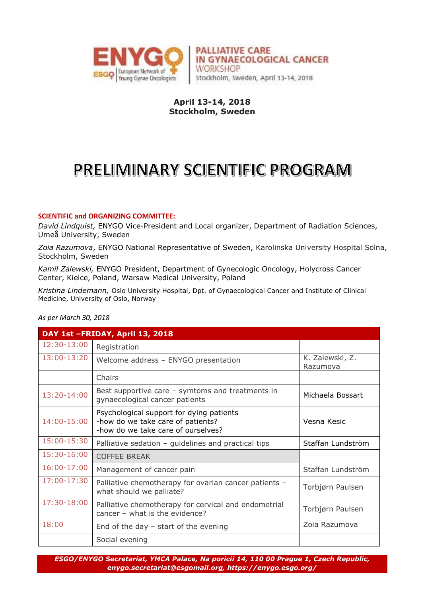

**PALLIATIVE CARE** IN GYNAECOLOGICAL CANCER **WORKSHOP** Stockholm, Sweden, April 13-14, 2018

### **April 13-14, 2018 Stockholm, Sweden**

# PRELIMINARY SCIENTIFIC PROGRAM

#### **SCIENTIFIC and ORGANIZING COMMITTEE:**

*David Lindquist,* ENYGO Vice-President and Local organizer, Department of Radiation Sciences, Umeå University, Sweden

*Zoia Razumova*, ENYGO National Representative of Sweden, Karolinska University Hospital Solna, Stockholm, Sweden

*Kamil Zalewski,* ENYGO President, Department of Gynecologic Oncology, Holycross Cancer Center, Kielce, Poland, Warsaw Medical University, Poland

*Kristina Lindemann,* Oslo University Hospital, Dpt. of Gynaecological Cancer and Institute of Clinical Medicine, University of Oslo, Norway

#### *As per March 30, 2018*

| DAY 1st -FRIDAY, April 13, 2018 |                                                                                                                     |                             |
|---------------------------------|---------------------------------------------------------------------------------------------------------------------|-----------------------------|
| 12:30-13:00                     | Registration                                                                                                        |                             |
| 13:00-13:20                     | Welcome address - ENYGO presentation                                                                                | K. Zalewski, Z.<br>Razumova |
|                                 | Chairs                                                                                                              |                             |
| 13:20-14:00                     | Best supportive care $-$ symtoms and treatments in<br>gynaecological cancer patients                                | Michaela Bossart            |
| 14:00-15:00                     | Psychological support for dying patients<br>-how do we take care of patients?<br>-how do we take care of ourselves? | Vesna Kesic                 |
| 15:00-15:30                     | Palliative sedation - guidelines and practical tips                                                                 | Staffan Lundström           |
| 15:30-16:00                     | <b>COFFEE BREAK</b>                                                                                                 |                             |
| 16:00-17:00                     | Management of cancer pain                                                                                           | Staffan Lundström           |
| 17:00-17:30                     | Palliative chemotherapy for ovarian cancer patients -<br>what should we palliate?                                   | Torbjørn Paulsen            |
| 17:30-18:00                     | Palliative chemotherapy for cervical and endometrial<br>cancer - what is the evidence?                              | Torbjørn Paulsen            |
| 18:00                           | End of the day $-$ start of the evening                                                                             | Zoia Razumova               |
|                                 | Social evening                                                                                                      |                             |

*ESGO/ENYGO Secretariat, YMCA Palace, Na poricií 14, 110 00 Prague 1, Czech Republic, [enygo.secretariat@esgomail.org,](mailto:enygo.secretariat@esgomail.org) https://enygo.esgo.org/*